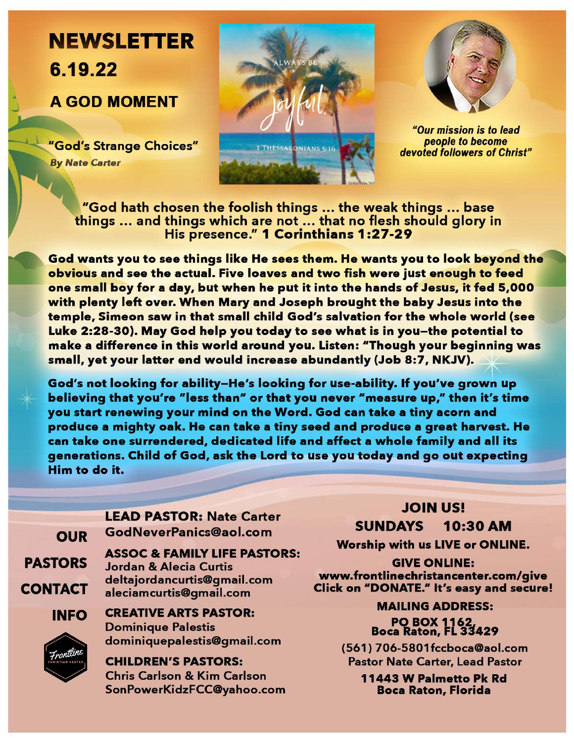## **NEWSLETTER**  6.19.22 AGOD MOMENT

.. ...J

> "God's Strange Choices" By *Nate Carter*





"Our mission is to lead people to become devoted followers of Christ"

"God hath chosen the foolish things ... the weak things ... base things ... and things which are not ... that no flesh should glory in His presence." 1 Corinthians 1 :27-29

God wants you to see things like He sees them. He wants you to look **beyond** the obvious and see the actual. Five loaves and two fish were just enough to feed one small boy for a day, but when he put it into the hands of Jesus, it fed 5,000 with plenty left over. When **Mary and** Joseph brought the **baby** Jesus into the temple, Simeon saw in that small child God's salvation for the whole world (see Luke 2:28-30). May God help you today to see what is in you-the potential to make a difference in this world around you. Listen: "Though your beginning was small, yet your latter end would increase abundantly (Job 8:7, NKJV).

God's not looking for ability-He's looking for use-ability. If you've grown up believing that you're "less than" or that you never "measure up," then it's time you start renewing your mind on the Word. God can take a tiny acorn and produce a mighty oak. He can take a tiny seed and produce a great harvest. He can take one surrendered, dedicated life and affect a whole family and all its generations. Child of God, ask the Lord to use you today and go out expecting Him to do it.

**OUR PASTORS**  CONTACT **INFO LEAD PASTOR:** Nate Carter GodNeverPanics@aol.com **ASSOC** & **FAMILY LIFE PASTORS:**  Jordan & Alecia Curtis delta jordancurtis@gmail.com aleciamcurtis@gmail.com **CREATIVE ARTS PASTOR:**  Dominique Palestis



dominiquepalestis@gmail.com

**CHILDREN'S PASTORS:**  Chris Carlson & Kim Carlson SonPowerKidzFCC@yahoo.com

## JOIN US! SUNDAYS 10:30 AM

**Worship** with us **LIVE or ONLINE.** 

**GIVE ONLINE: www.frontlinechristancenter.com/give**  Click **on <sup>11</sup>DONATE.<sup>11</sup>**It's **easy and secure!** 

> **MAILING ADDRESS: PO BOX 1162 Boca Raton,** FL **3!429**

(561) 706-5801fccboca@aol.com Pastor Nate Carter, Lead Pastor

> **11443 W Palmetto Pk Rd Boca Raton, Florida**